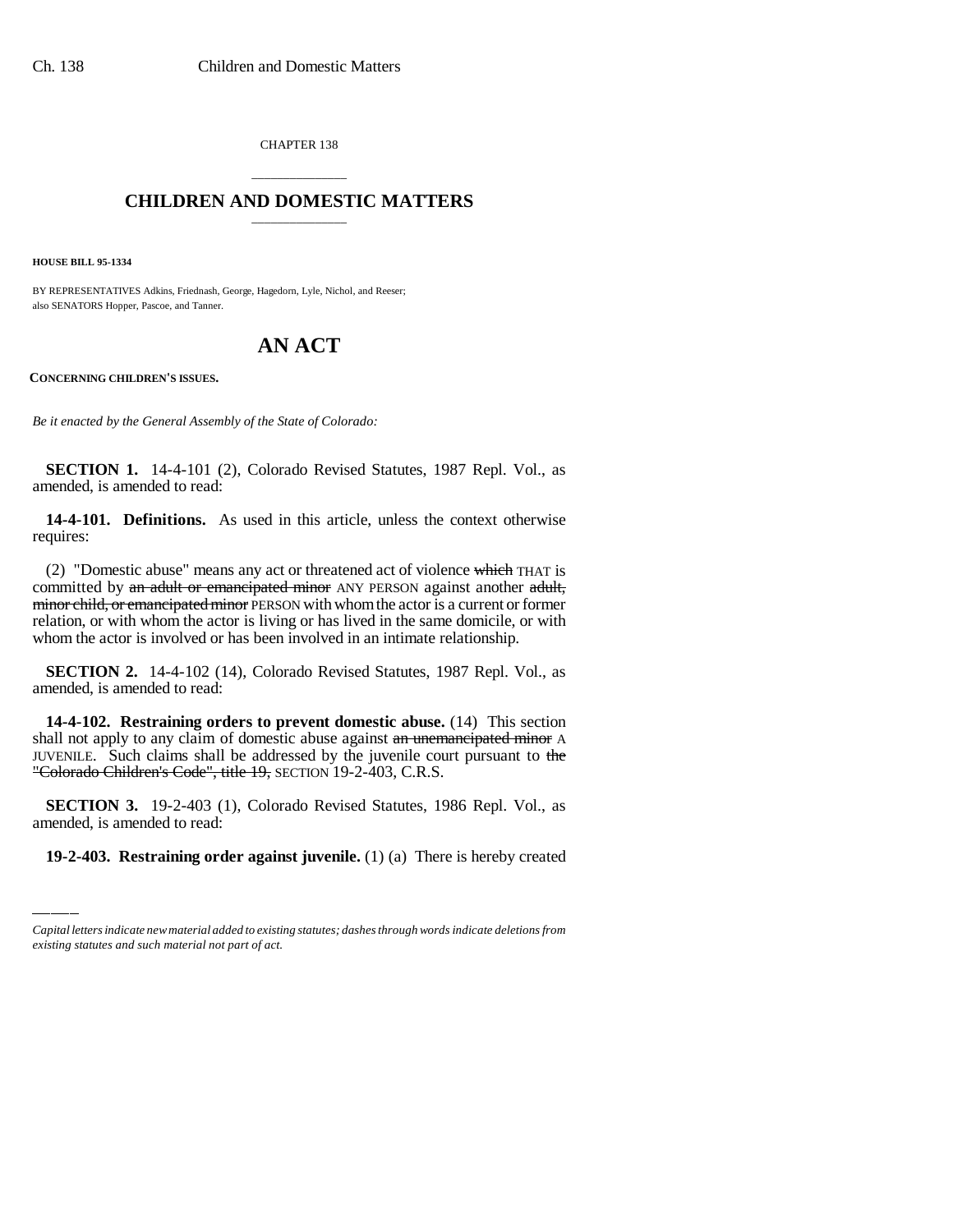CHAPTER 138

## \_\_\_\_\_\_\_\_\_\_\_\_\_\_\_ **CHILDREN AND DOMESTIC MATTERS** \_\_\_\_\_\_\_\_\_\_\_\_\_\_\_

**HOUSE BILL 95-1334**

BY REPRESENTATIVES Adkins, Friednash, George, Hagedorn, Lyle, Nichol, and Reeser; also SENATORS Hopper, Pascoe, and Tanner.

## **AN ACT**

**CONCERNING CHILDREN'S ISSUES.**

*Be it enacted by the General Assembly of the State of Colorado:*

**SECTION 1.** 14-4-101 (2), Colorado Revised Statutes, 1987 Repl. Vol., as amended, is amended to read:

**14-4-101. Definitions.** As used in this article, unless the context otherwise requires:

(2) "Domestic abuse" means any act or threatened act of violence which THAT is committed by an adult or emancipated minor ANY PERSON against another adult, minor child, or emancipated minor PERSON with whom the actor is a current or former relation, or with whom the actor is living or has lived in the same domicile, or with whom the actor is involved or has been involved in an intimate relationship.

**SECTION 2.** 14-4-102 (14), Colorado Revised Statutes, 1987 Repl. Vol., as amended, is amended to read:

**14-4-102. Restraining orders to prevent domestic abuse.** (14) This section shall not apply to any claim of domestic abuse against an unemancipated minor A JUVENILE. Such claims shall be addressed by the juvenile court pursuant to the "Colorado Children's Code", title 19, SECTION 19-2-403, C.R.S.

 **SECTION 3.** 19-2-403 (1), Colorado Revised Statutes, 1986 Repl. Vol., as amended, is amended to read:

**19-2-403. Restraining order against juvenile.** (1) (a) There is hereby created

*Capital letters indicate new material added to existing statutes; dashes through words indicate deletions from existing statutes and such material not part of act.*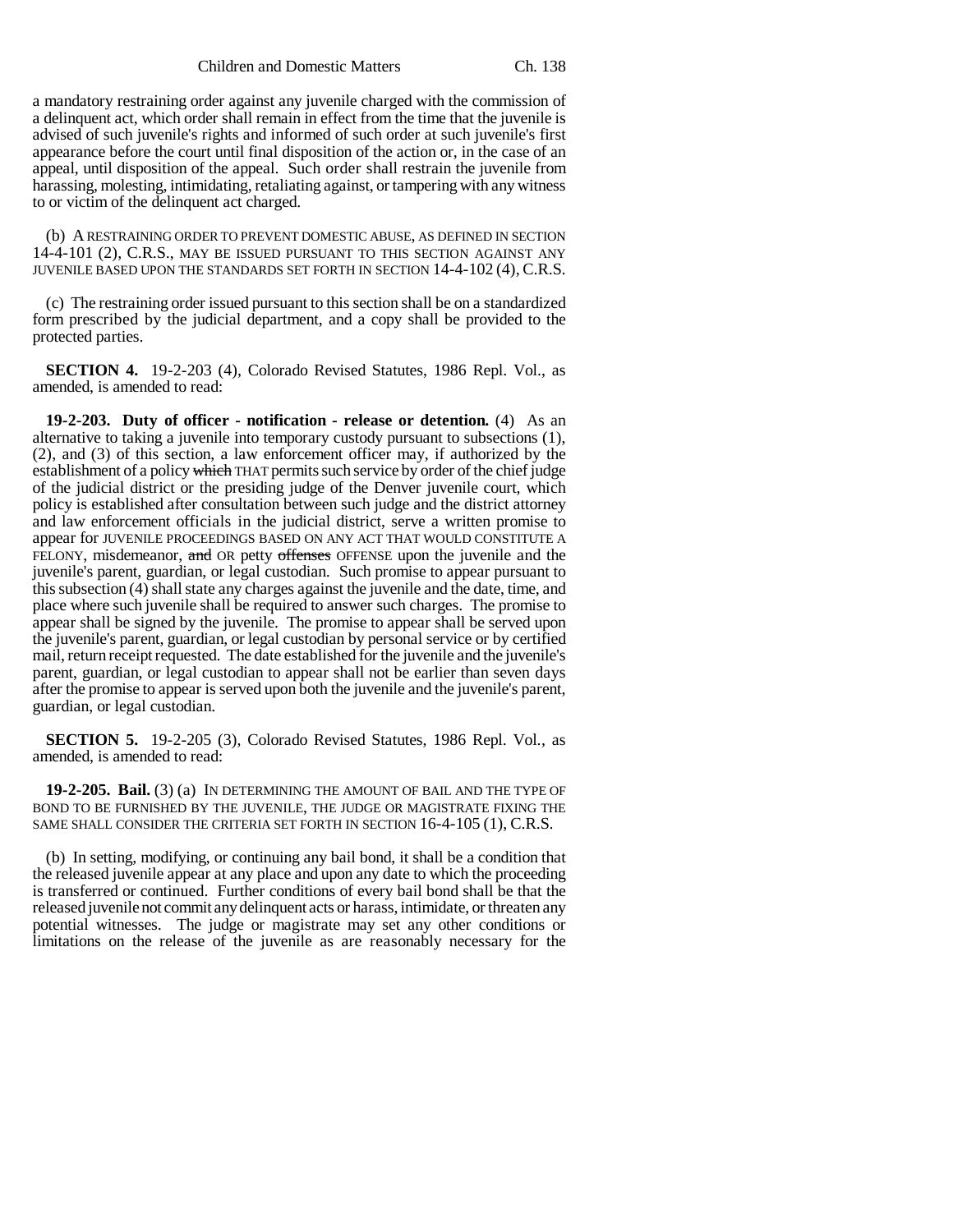a mandatory restraining order against any juvenile charged with the commission of a delinquent act, which order shall remain in effect from the time that the juvenile is advised of such juvenile's rights and informed of such order at such juvenile's first appearance before the court until final disposition of the action or, in the case of an appeal, until disposition of the appeal. Such order shall restrain the juvenile from harassing, molesting, intimidating, retaliating against, or tampering with any witness to or victim of the delinquent act charged.

(b) A RESTRAINING ORDER TO PREVENT DOMESTIC ABUSE, AS DEFINED IN SECTION 14-4-101 (2), C.R.S., MAY BE ISSUED PURSUANT TO THIS SECTION AGAINST ANY JUVENILE BASED UPON THE STANDARDS SET FORTH IN SECTION 14-4-102 (4), C.R.S.

(c) The restraining order issued pursuant to this section shall be on a standardized form prescribed by the judicial department, and a copy shall be provided to the protected parties.

**SECTION 4.** 19-2-203 (4), Colorado Revised Statutes, 1986 Repl. Vol., as amended, is amended to read:

**19-2-203. Duty of officer - notification - release or detention.** (4) As an alternative to taking a juvenile into temporary custody pursuant to subsections (1), (2), and (3) of this section, a law enforcement officer may, if authorized by the establishment of a policy which THAT permits such service by order of the chief judge of the judicial district or the presiding judge of the Denver juvenile court, which policy is established after consultation between such judge and the district attorney and law enforcement officials in the judicial district, serve a written promise to appear for JUVENILE PROCEEDINGS BASED ON ANY ACT THAT WOULD CONSTITUTE A FELONY, misdemeanor, and OR petty offenses OFFENSE upon the juvenile and the juvenile's parent, guardian, or legal custodian. Such promise to appear pursuant to this subsection (4) shall state any charges against the juvenile and the date, time, and place where such juvenile shall be required to answer such charges. The promise to appear shall be signed by the juvenile. The promise to appear shall be served upon the juvenile's parent, guardian, or legal custodian by personal service or by certified mail, return receipt requested. The date established for the juvenile and the juvenile's parent, guardian, or legal custodian to appear shall not be earlier than seven days after the promise to appear is served upon both the juvenile and the juvenile's parent, guardian, or legal custodian.

**SECTION 5.** 19-2-205 (3), Colorado Revised Statutes, 1986 Repl. Vol., as amended, is amended to read:

**19-2-205. Bail.** (3) (a) IN DETERMINING THE AMOUNT OF BAIL AND THE TYPE OF BOND TO BE FURNISHED BY THE JUVENILE, THE JUDGE OR MAGISTRATE FIXING THE SAME SHALL CONSIDER THE CRITERIA SET FORTH IN SECTION 16-4-105 (1), C.R.S.

(b) In setting, modifying, or continuing any bail bond, it shall be a condition that the released juvenile appear at any place and upon any date to which the proceeding is transferred or continued. Further conditions of every bail bond shall be that the released juvenile not commit any delinquent acts or harass, intimidate, or threaten any potential witnesses. The judge or magistrate may set any other conditions or limitations on the release of the juvenile as are reasonably necessary for the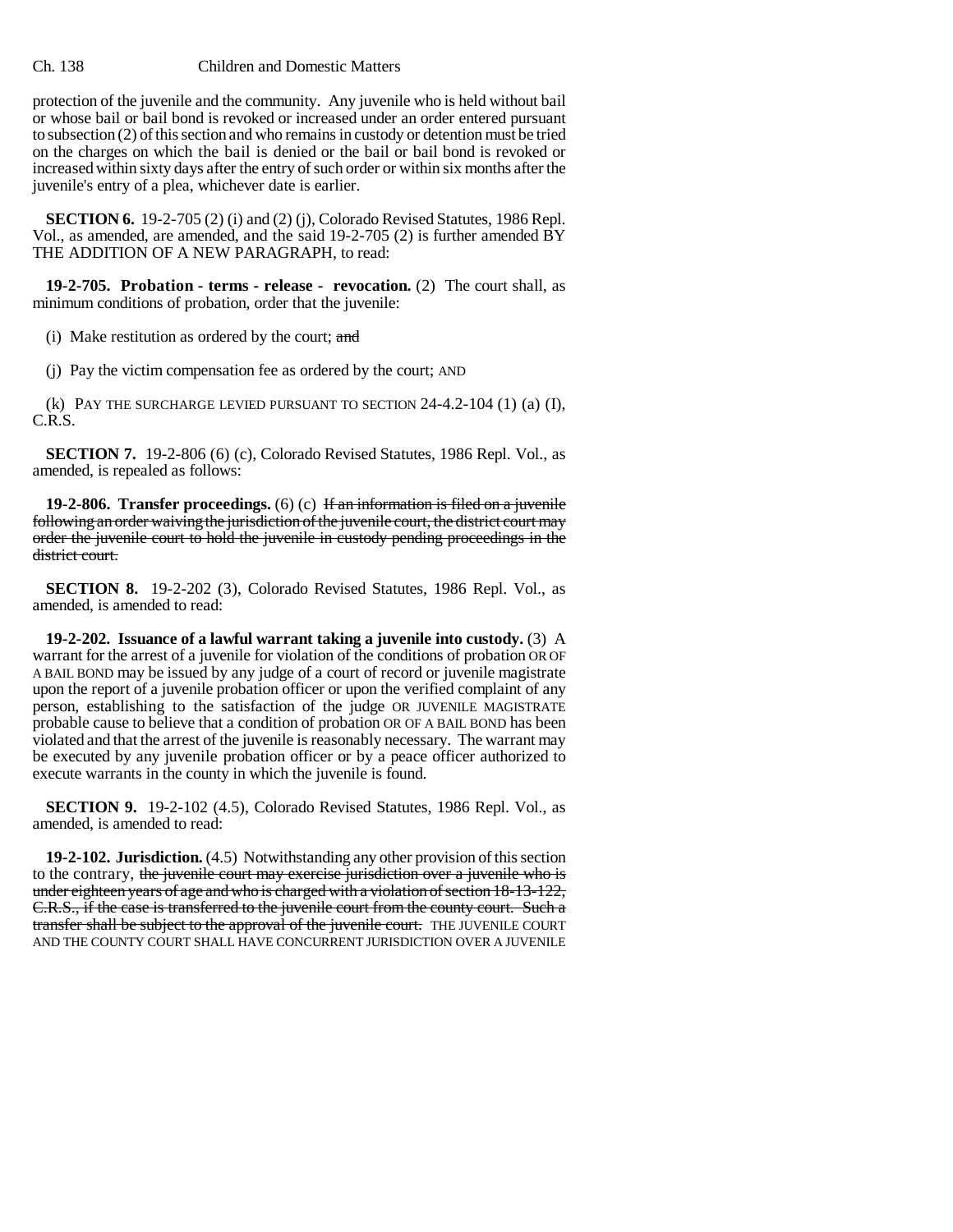## Ch. 138 Children and Domestic Matters

protection of the juvenile and the community. Any juvenile who is held without bail or whose bail or bail bond is revoked or increased under an order entered pursuant to subsection (2) of this section and who remains in custody or detention must be tried on the charges on which the bail is denied or the bail or bail bond is revoked or increased within sixty days after the entry of such order or within six months after the juvenile's entry of a plea, whichever date is earlier.

**SECTION 6.** 19-2-705 (2) (i) and (2) (j), Colorado Revised Statutes, 1986 Repl. Vol., as amended, are amended, and the said 19-2-705 (2) is further amended BY THE ADDITION OF A NEW PARAGRAPH, to read:

**19-2-705. Probation - terms - release - revocation.** (2) The court shall, as minimum conditions of probation, order that the juvenile:

(i) Make restitution as ordered by the court; and

(j) Pay the victim compensation fee as ordered by the court; AND

(k) PAY THE SURCHARGE LEVIED PURSUANT TO SECTION  $24-4.2-104$  (1) (a) (I), C.R.S.

**SECTION 7.** 19-2-806 (6) (c), Colorado Revised Statutes, 1986 Repl. Vol., as amended, is repealed as follows:

**19-2-806. Transfer proceedings.** (6) (c) If an information is filed on a juvenile following an order waiving the jurisdiction of the juvenile court, the district court may order the juvenile court to hold the juvenile in custody pending proceedings in the district court.

**SECTION 8.** 19-2-202 (3), Colorado Revised Statutes, 1986 Repl. Vol., as amended, is amended to read:

**19-2-202. Issuance of a lawful warrant taking a juvenile into custody.** (3) A warrant for the arrest of a juvenile for violation of the conditions of probation OR OF A BAIL BOND may be issued by any judge of a court of record or juvenile magistrate upon the report of a juvenile probation officer or upon the verified complaint of any person, establishing to the satisfaction of the judge OR JUVENILE MAGISTRATE probable cause to believe that a condition of probation OR OF A BAIL BOND has been violated and that the arrest of the juvenile is reasonably necessary. The warrant may be executed by any juvenile probation officer or by a peace officer authorized to execute warrants in the county in which the juvenile is found.

**SECTION 9.** 19-2-102 (4.5), Colorado Revised Statutes, 1986 Repl. Vol., as amended, is amended to read:

**19-2-102. Jurisdiction.** (4.5) Notwithstanding any other provision of this section to the contrary, the juvenile court may exercise jurisdiction over a juvenile who is under eighteen years of age and who is charged with a violation of section 18-13-122, C.R.S., if the case is transferred to the juvenile court from the county court. Such a transfer shall be subject to the approval of the juvenile court. THE JUVENILE COURT AND THE COUNTY COURT SHALL HAVE CONCURRENT JURISDICTION OVER A JUVENILE